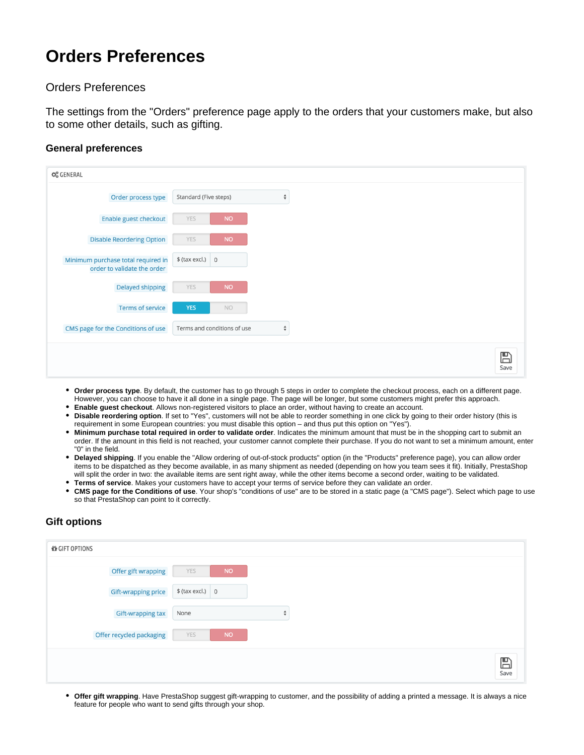## **Orders Preferences**

## Orders Preferences

The settings from the "Orders" preference page apply to the orders that your customers make, but also to some other details, such as gifting.

## **General preferences**

| <b>C</b> <sub>6</sub> GENERAL                                     |                             |                    |
|-------------------------------------------------------------------|-----------------------------|--------------------|
| Order process type                                                | Standard (Five steps)       | $\hat{\mathbb{F}}$ |
| Enable guest checkout                                             | <b>NO</b><br>YES            |                    |
| <b>Disable Reordering Option</b>                                  | YES<br><b>NO</b>            |                    |
| Minimum purchase total required in<br>order to validate the order | $$$ (tax excl.) 0           |                    |
| Delayed shipping                                                  | YES<br><b>NO</b>            |                    |
| <b>Terms of service</b>                                           | <b>YES</b><br>NO.           |                    |
| CMS page for the Conditions of use                                | Terms and conditions of use | $\hat{\mathbb{F}}$ |
|                                                                   |                             |                    |
|                                                                   |                             |                    |

- **Order process type**. By default, the customer has to go through 5 steps in order to complete the checkout process, each on a different page. However, you can choose to have it all done in a single page. The page will be longer, but some customers might prefer this approach.
- **Enable guest checkout**. Allows non-registered visitors to place an order, without having to create an account. **Disable reordering option**. If set to "Yes", customers will not be able to reorder something in one click by going to their order history (this is requirement in some European countries: you must disable this option – and thus put this option on "Yes").
- **Minimum purchase total required in order to validate order**. Indicates the minimum amount that must be in the shopping cart to submit an order. If the amount in this field is not reached, your customer cannot complete their purchase. If you do not want to set a minimum amount, enter "0" in the field.
- **Delayed shipping**. If you enable the "Allow ordering of out-of-stock products" option (in the "Products" preference page), you can allow order items to be dispatched as they become available, in as many shipment as needed (depending on how you team sees it fit). Initially, PrestaShop will split the order in two: the available items are sent right away, while the other items become a second order, waiting to be validated. **Terms of service**. Makes your customers have to accept your terms of service before they can validate an order.
- **CMS page for the Conditions of use**. Your shop's "conditions of use" are to be stored in a static page (a "CMS page"). Select which page to use so that PrestaShop can point to it correctly.

## **Gift options**

| <b>O</b> GIFT OPTIONS    |                   |  |
|--------------------------|-------------------|--|
| Offer gift wrapping      | <b>NO</b><br>YES  |  |
| Gift-wrapping price      | $$$ (tax excl.) 0 |  |
| Gift-wrapping tax        | None<br>÷         |  |
| Offer recycled packaging | <b>NO</b><br>YES  |  |
|                          |                   |  |
|                          |                   |  |

**Offer gift wrapping**. Have PrestaShop suggest gift-wrapping to customer, and the possibility of adding a printed a message. It is always a nice feature for people who want to send gifts through your shop.